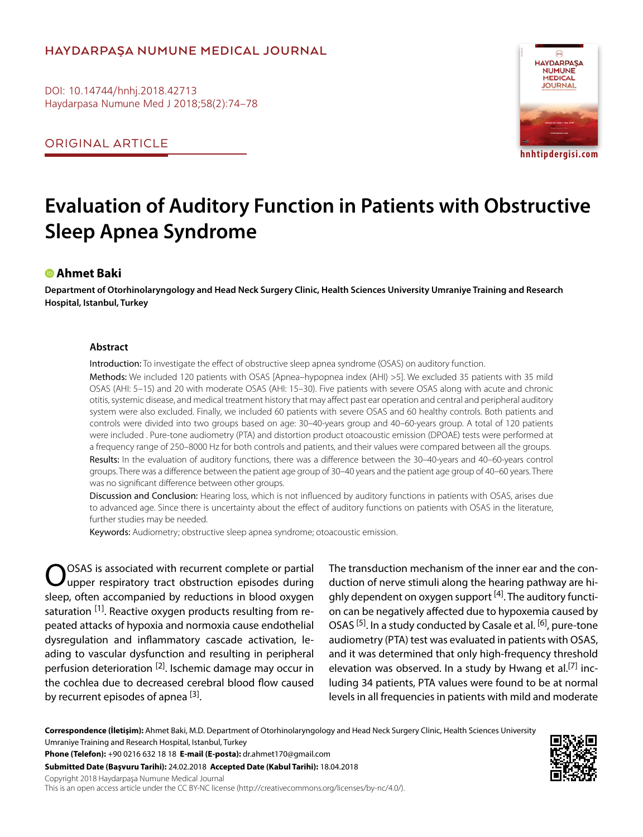# **HAYDARPAŞA NUMUNE MEDICAL JOURNAL**

DOI: 10.14744/hnhj.2018.42713 Haydarpasa Numune Med J 2018;58(2):74–78

ORIGINAL ARTICLE



**hnhtipdergisi.com**

# **Evaluation of Auditory Function in Patients with Obstructive Sleep Apnea Syndrome**

## **Ahmet Baki**

**Department of Otorhinolaryngology and Head Neck Surgery Clinic, Health Sciences University Umraniye Training and Research Hospital, Istanbul, Turkey**

#### **Abstract**

Introduction: To investigate the effect of obstructive sleep apnea syndrome (OSAS) on auditory function.

Methods: We included 120 patients with OSAS [Apnea–hypopnea index (AHI) >5]. We excluded 35 patients with 35 mild OSAS (AHI: 5–15) and 20 with moderate OSAS (AHI: 15–30). Five patients with severe OSAS along with acute and chronic otitis, systemic disease, and medical treatment history that may affect past ear operation and central and peripheral auditory system were also excluded. Finally, we included 60 patients with severe OSAS and 60 healthy controls. Both patients and controls were divided into two groups based on age: 30–40-years group and 40–60-years group. A total of 120 patients were included . Pure-tone audiometry (PTA) and distortion product otoacoustic emission (DPOAE) tests were performed at a frequency range of 250–8000 Hz for both controls and patients, and their values were compared between all the groups. Results: In the evaluation of auditory functions, there was a difference between the 30–40-years and 40–60-years control groups. There was a difference between the patient age group of 30–40 years and the patient age group of 40–60 years. There was no significant difference between other groups.

Discussion and Conclusion: Hearing loss, which is not influenced by auditory functions in patients with OSAS, arises due to advanced age. Since there is uncertainty about the effect of auditory functions on patients with OSAS in the literature, further studies may be needed.

Keywords: Audiometry; obstructive sleep apnea syndrome; otoacoustic emission.

OOSAS is associated with recurrent complete or partial upper respiratory tract obstruction episodes during sleep, often accompanied by reductions in blood oxygen saturation <sup>[1]</sup>. Reactive oxygen products resulting from repeated attacks of hypoxia and normoxia cause endothelial dysregulation and inflammatory cascade activation, leading to vascular dysfunction and resulting in peripheral perfusion deterioration <sup>[2]</sup>. Ischemic damage may occur in the cochlea due to decreased cerebral blood flow caused by recurrent episodes of apnea [3].

The transduction mechanism of the inner ear and the conduction of nerve stimuli along the hearing pathway are highly dependent on oxygen support  $[4]$ . The auditory function can be negatively affected due to hypoxemia caused by OSAS<sup>[5]</sup>. In a study conducted by Casale et al. <sup>[6]</sup>, pure-tone audiometry (PTA) test was evaluated in patients with OSAS, and it was determined that only high-frequency threshold elevation was observed. In a study by Hwang et al.<sup>[7]</sup> including 34 patients, PTA values were found to be at normal levels in all frequencies in patients with mild and moderate

**Correspondence (İletişim):** Ahmet Baki, M.D. Department of Otorhinolaryngology and Head Neck Surgery Clinic, Health Sciences University Umraniye Training and Research Hospital, Istanbul, Turkey

**Phone (Telefon):** +90 0216 632 18 18 **E-mail (E-posta):** dr.ahmet170@gmail.com **Submitted Date (Başvuru Tarihi):** 24.02.2018 **Accepted Date (Kabul Tarihi):** 18.04.2018

Copyright 2018 Haydarpaşa Numune Medical Journal

This is an open access article under the CC BY-NC license (http://creativecommons.org/licenses/by-nc/4.0/).

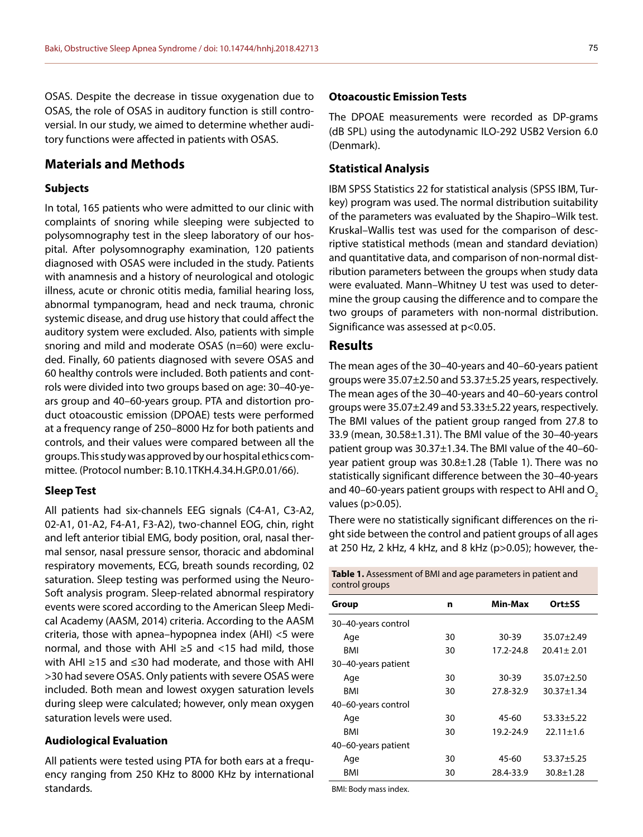OSAS. Despite the decrease in tissue oxygenation due to OSAS, the role of OSAS in auditory function is still controversial. In our study, we aimed to determine whether auditory functions were affected in patients with OSAS.

## **Materials and Methods**

## **Subjects**

In total, 165 patients who were admitted to our clinic with complaints of snoring while sleeping were subjected to polysomnography test in the sleep laboratory of our hospital. After polysomnography examination, 120 patients diagnosed with OSAS were included in the study. Patients with anamnesis and a history of neurological and otologic illness, acute or chronic otitis media, familial hearing loss, abnormal tympanogram, head and neck trauma, chronic systemic disease, and drug use history that could affect the auditory system were excluded. Also, patients with simple snoring and mild and moderate OSAS (n=60) were excluded. Finally, 60 patients diagnosed with severe OSAS and 60 healthy controls were included. Both patients and controls were divided into two groups based on age: 30–40-years group and 40–60-years group. PTA and distortion product otoacoustic emission (DPOAE) tests were performed at a frequency range of 250–8000 Hz for both patients and controls, and their values were compared between all the groups. This study was approved by our hospital ethics committee. (Protocol number: B.10.1TKH.4.34.H.GP.0.01/66).

## **Sleep Test**

All patients had six-channels EEG signals (C4-A1, C3-A2, 02-A1, 01-A2, F4-A1, F3-A2), two-channel EOG, chin, right and left anterior tibial EMG, body position, oral, nasal thermal sensor, nasal pressure sensor, thoracic and abdominal respiratory movements, ECG, breath sounds recording, 02 saturation. Sleep testing was performed using the Neuro-Soft analysis program. Sleep-related abnormal respiratory events were scored according to the American Sleep Medical Academy (AASM, 2014) criteria. According to the AASM criteria, those with apnea–hypopnea index (AHI) <5 were normal, and those with AHI ≥5 and <15 had mild, those with AHI ≥15 and ≤30 had moderate, and those with AHI >30 had severe OSAS. Only patients with severe OSAS were included. Both mean and lowest oxygen saturation levels during sleep were calculated; however, only mean oxygen saturation levels were used.

#### **Audiological Evaluation**

All patients were tested using PTA for both ears at a frequency ranging from 250 KHz to 8000 KHz by international standards.

#### **Otoacoustic Emission Tests**

The DPOAE measurements were recorded as DP-grams (dB SPL) using the autodynamic ILO-292 USB2 Version 6.0 (Denmark).

## **Statistical Analysis**

IBM SPSS Statistics 22 for statistical analysis (SPSS IBM, Turkey) program was used. The normal distribution suitability of the parameters was evaluated by the Shapiro–Wilk test. Kruskal–Wallis test was used for the comparison of descriptive statistical methods (mean and standard deviation) and quantitative data, and comparison of non-normal distribution parameters between the groups when study data were evaluated. Mann–Whitney U test was used to determine the group causing the difference and to compare the two groups of parameters with non-normal distribution. Significance was assessed at p<0.05.

## **Results**

The mean ages of the 30–40-years and 40–60-years patient groups were 35.07±2.50 and 53.37±5.25 years, respectively. The mean ages of the 30–40-years and 40–60-years control groups were 35.07±2.49 and 53.33±5.22 years, respectively. The BMI values of the patient group ranged from 27.8 to 33.9 (mean, 30.58±1.31). The BMI value of the 30–40-years patient group was 30.37±1.34. The BMI value of the 40–60 year patient group was 30.8±1.28 (Table 1). There was no statistically significant difference between the 30–40-years and 40–60-years patient groups with respect to AHI and  $O<sub>2</sub>$ values (p>0.05).

There were no statistically significant differences on the right side between the control and patient groups of all ages at 250 Hz, 2 kHz, 4 kHz, and 8 kHz (p>0.05); however, the-

| <b>Table 1.</b> Assessment of BMI and age parameters in patient and |  |
|---------------------------------------------------------------------|--|
| control groups                                                      |  |

| Group               | n  | Min-Max   | Ort±SS           |
|---------------------|----|-----------|------------------|
| 30-40-years control |    |           |                  |
| Age                 | 30 | 30-39     | $35.07 + 2.49$   |
| BMI                 | 30 | 17.2-24.8 | $20.41 + 2.01$   |
| 30-40-years patient |    |           |                  |
| Age                 | 30 | $30 - 39$ | $35.07 + 2.50$   |
| BMI                 | 30 | 27.8-32.9 | $30.37 \pm 1.34$ |
| 40-60-years control |    |           |                  |
| Age                 | 30 | 45-60     | $53.33 \pm 5.22$ |
| BMI                 | 30 | 19.2-24.9 | $22.11 \pm 1.6$  |
| 40–60-years patient |    |           |                  |
| Age                 | 30 | 45-60     | $53.37 + 5.25$   |
| BMI                 | 30 | 28.4-33.9 | $30.8 \pm 1.28$  |

BMI: Body mass index.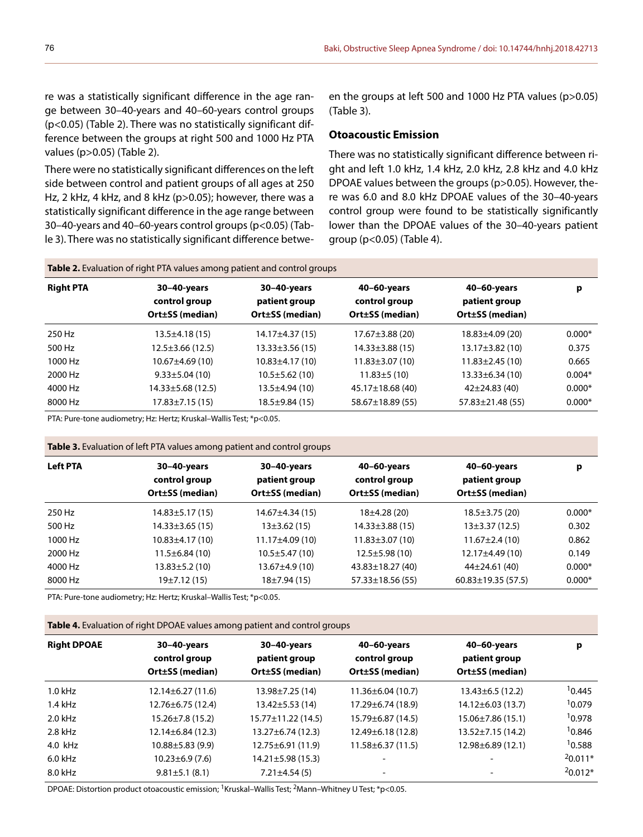re was a statistically significant difference in the age range between 30–40-years and 40–60-years control groups (p<0.05) (Table 2). There was no statistically significant difference between the groups at right 500 and 1000 Hz PTA values (p>0.05) (Table 2).

There were no statistically significant differences on the left side between control and patient groups of all ages at 250 Hz, 2 kHz, 4 kHz, and 8 kHz (p>0.05); however, there was a statistically significant difference in the age range between 30–40-years and 40–60-years control groups (p<0.05) (Table 3). There was no statistically significant difference between the groups at left 500 and 1000 Hz PTA values (p>0.05) (Table 3).

#### **Otoacoustic Emission**

There was no statistically significant difference between right and left 1.0 kHz, 1.4 kHz, 2.0 kHz, 2.8 kHz and 4.0 kHz DPOAE values between the groups (p>0.05). However, there was 6.0 and 8.0 kHz DPOAE values of the 30–40-years control group were found to be statistically significantly lower than the DPOAE values of the 30–40-years patient group (p<0.05) (Table 4).

| <b>Table 2.</b> Evaluation of right PTA values among patient and control groups |                                                 |                                                 |                                                 |                                                 |          |  |
|---------------------------------------------------------------------------------|-------------------------------------------------|-------------------------------------------------|-------------------------------------------------|-------------------------------------------------|----------|--|
| <b>Right PTA</b>                                                                | 30-40-years<br>control group<br>Ort±SS (median) | 30-40-years<br>patient group<br>Ort±SS (median) | 40-60-years<br>control group<br>Ort±SS (median) | 40-60-years<br>patient group<br>Ort±SS (median) | р        |  |
| 250 Hz                                                                          | $13.5 \pm 4.18(15)$                             | 14.17±4.37 (15)                                 | $17.67 \pm 3.88$ (20)                           | $18.83 \pm 4.09$ (20)                           | $0.000*$ |  |
| 500 Hz                                                                          | $12.5 \pm 3.66$ (12.5)                          | $13.33 \pm 3.56(15)$                            | $14.33 \pm 3.88$ (15)                           | $13.17 \pm 3.82$ (10)                           | 0.375    |  |
| 1000 Hz                                                                         | $10.67 \pm 4.69(10)$                            | $10.83 \pm 4.17(10)$                            | $11.83 \pm 3.07(10)$                            | $11.83 \pm 2.45(10)$                            | 0.665    |  |
| 2000 Hz                                                                         | $9.33 \pm 5.04(10)$                             | $10.5 \pm 5.62(10)$                             | $11.83 \pm 5(10)$                               | $13.33 \pm 6.34(10)$                            | $0.004*$ |  |
| 4000 Hz                                                                         | 14.33±5.68 (12.5)                               | $13.5 \pm 4.94(10)$                             | 45.17±18.68 (40)                                | $42\pm24.83(40)$                                | $0.000*$ |  |
| 8000 Hz                                                                         | $17.83 \pm 7.15(15)$                            | $18.5 \pm 9.84(15)$                             | 58.67±18.89 (55)                                | $57.83 \pm 21.48(55)$                           | $0.000*$ |  |

PTA: Pure-tone audiometry; Hz: Hertz; Kruskal–Wallis Test; \*p<0.05.

| Table 3. Evaluation of left PTA values among patient and control groups |  |  |  |  |  |
|-------------------------------------------------------------------------|--|--|--|--|--|
|-------------------------------------------------------------------------|--|--|--|--|--|

| <b>Left PTA</b> | 30-40-years<br>control group<br>Ort±SS (median) | 30-40-years<br>patient group<br>Ort±SS (median) | 40-60-years<br>control group<br>Ort±SS (median) | 40-60-years<br>patient group<br>Ort±SS (median) | p        |
|-----------------|-------------------------------------------------|-------------------------------------------------|-------------------------------------------------|-------------------------------------------------|----------|
| 250 Hz          | 14.83±5.17 (15)                                 | 14.67±4.34 (15)                                 | 18±4.28 (20)                                    | $18.5 \pm 3.75(20)$                             | $0.000*$ |
| 500 Hz          | $14.33 \pm 3.65$ (15)                           | 13±3.62 (15)                                    | $14.33 \pm 3.88$ (15)                           | $13\pm3.37(12.5)$                               | 0.302    |
| 1000 Hz         | $10.83 \pm 4.17(10)$                            | $11.17\pm4.09(10)$                              | $11.83 \pm 3.07(10)$                            | $11.67 \pm 2.4(10)$                             | 0.862    |
| 2000 Hz         | $11.5 \pm 6.84(10)$                             | $10.5 \pm 5.47(10)$                             | $12.5 \pm 5.98(10)$                             | $12.17\pm4.49(10)$                              | 0.149    |
| 4000 Hz         | 13.83±5.2 (10)                                  | 13.67±4.9 (10)                                  | $43.83 \pm 18.27$ (40)                          | $44\pm 24.61(40)$                               | $0.000*$ |
| 8000 Hz         | 19±7.12 (15)                                    | 18±7.94 (15)                                    | $57.33 \pm 18.56(55)$                           | $60.83 \pm 19.35(57.5)$                         | $0.000*$ |

PTA: Pure-tone audiometry; Hz: Hertz; Kruskal–Wallis Test; \*p<0.05.

**Table 4.** Evaluation of right DPOAE values among patient and control groups

| <b>Right DPOAE</b> | 30-40-years<br>control group<br>Ort±SS (median) | 30-40-years<br>patient group<br>Ort±SS (median) | 40-60-years<br>control group<br>Ort±SS (median) | 40-60-years<br>patient group<br>Ort±SS (median) | р         |
|--------------------|-------------------------------------------------|-------------------------------------------------|-------------------------------------------------|-------------------------------------------------|-----------|
| $1.0$ kHz          | $12.14 \pm 6.27(11.6)$                          | $13.98 \pm 7.25(14)$                            | $11.36 \pm 6.04$ (10.7)                         | $13.43\pm 6.5(12.2)$                            | 10.445    |
| $1.4$ kHz          | 12.76±6.75 (12.4)                               | $13.42 \pm 5.53(14)$                            | $17.29 \pm 6.74$ (18.9)                         | $14.12 \pm 6.03(13.7)$                          | 10.079    |
| $2.0$ kHz          | $15.26 \pm 7.8$ (15.2)                          | $15.77 \pm 11.22$ (14.5)                        | $15.79 \pm 6.87$ (14.5)                         | $15.06 \pm 7.86$ (15.1)                         | 10.978    |
| 2.8 kHz            | $12.14 \pm 6.84$ (12.3)                         | $13.27 \pm 6.74$ (12.3)                         | $12.49\pm 6.18(12.8)$                           | $13.52 \pm 7.15(14.2)$                          | 10.846    |
| 4.0 kHz            | $10.88 \pm 5.83$ (9.9)                          | $12.75 \pm 6.91(11.9)$                          | $11.58 \pm 6.37(11.5)$                          | $12.98 \pm 6.89$ (12.1)                         | 10.588    |
| $6.0$ kHz          | $10.23 \pm 6.9(7.6)$                            | $14.21 \pm 5.98$ (15.3)                         | -                                               |                                                 | $20.011*$ |
| 8.0 kHz            | $9.81 \pm 5.1$ (8.1)                            | $7.21 \pm 4.54(5)$                              | $\overline{\phantom{0}}$                        |                                                 | $20.012*$ |

DPOAE: Distortion product otoacoustic emission; <sup>1</sup>Kruskal–Wallis Test; <sup>2</sup>Mann–Whitney U Test; \*p<0.05.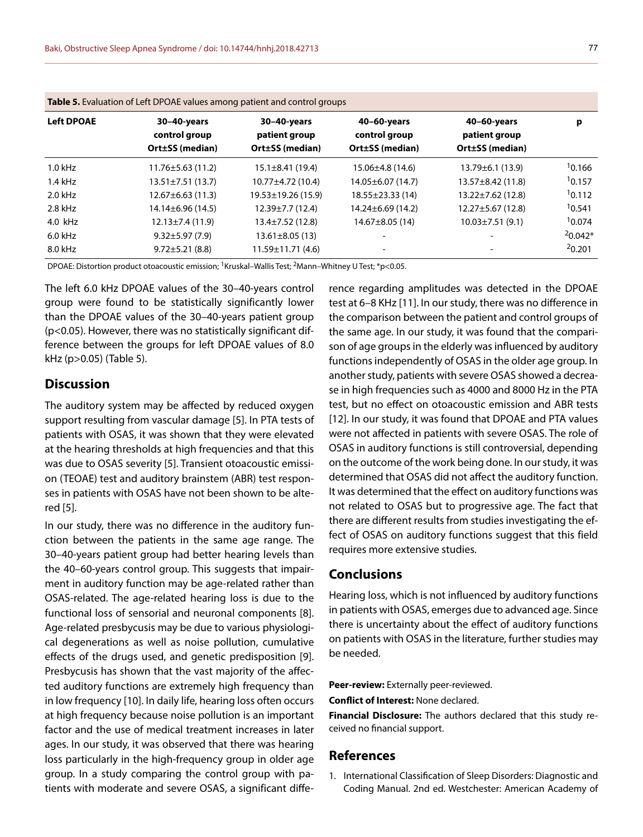| <b>Table 5.</b> Evaluation of Left DrOAE values among patient and control groups |                                                 |                                                 |                                                 |                                                 |           |  |
|----------------------------------------------------------------------------------|-------------------------------------------------|-------------------------------------------------|-------------------------------------------------|-------------------------------------------------|-----------|--|
| <b>Left DPOAE</b>                                                                | 30-40-years<br>control group<br>Ort±SS (median) | 30-40-years<br>patient group<br>Ort±SS (median) | 40-60-years<br>control group<br>Ort±SS (median) | 40-60-years<br>patient group<br>Ort±SS (median) | р         |  |
| $1.0$ kHz                                                                        | $11.76 \pm 5.63$ (11.2)                         | $15.1 \pm 8.41(19.4)$                           | 15.06±4.8 (14.6)                                | $13.79 \pm 6.1$ (13.9)                          | 10.166    |  |
| $1.4$ kHz                                                                        | $13.51 \pm 7.51$ (13.7)                         | $10.77 \pm 4.72$ (10.4)                         | $14.05 \pm 6.07$ (14.7)                         | $13.57 \pm 8.42$ (11.8)                         | 10.157    |  |
| $2.0$ kHz                                                                        | $12.67 \pm 6.63(11.3)$                          | $19.53 \pm 19.26$ (15.9)                        | 18.55±23.33 (14)                                | $13.22 \pm 7.62$ (12.8)                         | 10.112    |  |
| 2.8 kHz                                                                          | $14.14\pm 6.96(14.5)$                           | $12.39 \pm 7.7$ (12.4)                          | $14.24 \pm 6.69$ (14.2)                         | $12.27 \pm 5.67$ (12.8)                         | 10.541    |  |
| 4.0 kHz                                                                          | $12.13 \pm 7.4(11.9)$                           | $13.4 \pm 7.52$ (12.8)                          | $14.67 \pm 8.05(14)$                            | $10.03 \pm 7.51(9.1)$                           | 10.074    |  |
| $6.0$ kHz                                                                        | $9.32 \pm 5.97(7.9)$                            | $13.61 \pm 8.05(13)$                            |                                                 |                                                 | $20.042*$ |  |
| 8.0 kHz                                                                          | $9.72 \pm 5.21$ (8.8)                           | 11.59±11.71 (4.6)                               | $\overline{\phantom{a}}$                        |                                                 | 20.201    |  |

| Table 5. Evaluation of Left DPOAE values among patient and control groups |  |  |
|---------------------------------------------------------------------------|--|--|
|---------------------------------------------------------------------------|--|--|

DPOAE: Distortion product otoacoustic emission; <sup>1</sup>Kruskal-Wallis Test; <sup>2</sup>Mann-Whitney U Test; \*p<0.05.

The left 6.0 kHz DPOAE values of the 30–40-years control group were found to be statistically significantly lower than the DPOAE values of the 30–40-years patient group (p<0.05). However, there was no statistically significant difference between the groups for left DPOAE values of 8.0 kHz (p>0.05) (Table 5).

## **Discussion**

The auditory system may be affected by reduced oxygen support resulting from vascular damage [5]. In PTA tests of patients with OSAS, it was shown that they were elevated at the hearing thresholds at high frequencies and that this was due to OSAS severity [5]. Transient otoacoustic emission (TEOAE) test and auditory brainstem (ABR) test responses in patients with OSAS have not been shown to be altered [5].

In our study, there was no difference in the auditory function between the patients in the same age range. The 30–40-years patient group had better hearing levels than the 40–60-years control group. This suggests that impairment in auditory function may be age-related rather than OSAS-related. The age-related hearing loss is due to the functional loss of sensorial and neuronal components [8]. Age-related presbycusis may be due to various physiological degenerations as well as noise pollution, cumulative effects of the drugs used, and genetic predisposition [9]. Presbycusis has shown that the vast majority of the affected auditory functions are extremely high frequency than in low frequency [10]. In daily life, hearing loss often occurs at high frequency because noise pollution is an important factor and the use of medical treatment increases in later ages. In our study, it was observed that there was hearing loss particularly in the high-frequency group in older age group. In a study comparing the control group with patients with moderate and severe OSAS, a significant diffe-

rence regarding amplitudes was detected in the DPOAE test at 6–8 KHz [11]. In our study, there was no difference in the comparison between the patient and control groups of the same age. In our study, it was found that the comparison of age groups in the elderly was influenced by auditory functions independently of OSAS in the older age group. In another study, patients with severe OSAS showed a decrease in high frequencies such as 4000 and 8000 Hz in the PTA test, but no effect on otoacoustic emission and ABR tests [12]. In our study, it was found that DPOAE and PTA values were not affected in patients with severe OSAS. The role of OSAS in auditory functions is still controversial, depending on the outcome of the work being done. In our study, it was determined that OSAS did not affect the auditory function. It was determined that the effect on auditory functions was not related to OSAS but to progressive age. The fact that there are different results from studies investigating the effect of OSAS on auditory functions suggest that this field requires more extensive studies.

## **Conclusions**

Hearing loss, which is not influenced by auditory functions in patients with OSAS, emerges due to advanced age. Since there is uncertainty about the effect of auditory functions on patients with OSAS in the literature, further studies may be needed.

**Peer-review:** Externally peer-reviewed.

**Conflict of Interest:** None declared.

**Financial Disclosure:** The authors declared that this study received no financial support.

## **References**

1. International Classification of Sleep Disorders: Diagnostic and Coding Manual. 2nd ed. Westchester: American Academy of